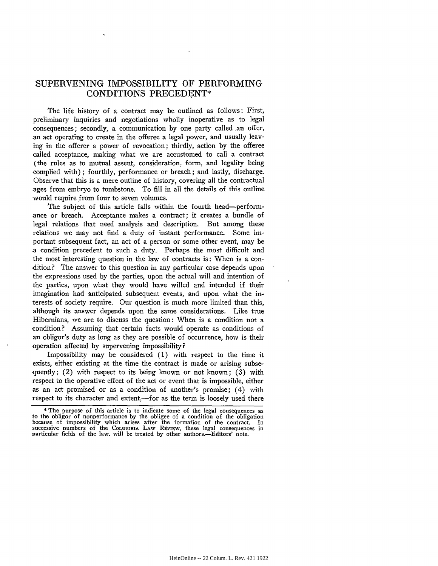## $\sup$ **EXVENING IMPOSSIBILITY** OF PERFORMING CONDITIONS PRECEDENT\* **CONDITIONS PRECEDENT\***

The life history of a contract may be outlined as follows: First, The life history of a contract may be outlined as follows: First, preliminary inquiries and negotiations wholly inoperative as to legal consequences; secondly, a communication by one party called .an offer, preliminary inquiries and negotiations wholly inoperative as to legalconsequences; secondly, <sup>a</sup> communication by one party called .an offer, an act operating to create in the offeree a legal power, and usually leaving in the offerer a power of revocation; thirdly, action by the offeree ing in the offerer a power of revocation; thirdly, action by the offeree called acceptance, making what we are accustomed to call a contract called acceptance, making what we are accustomed to call a contract (the rules as to mutual assent, consideration, form, and legality being (the rules as to mutual assent, consideration, form, and legality being complied with) ; fourthly, performance or breach; and lastly, discharge. eomplied with) ; fourthly, performance or breach; and lastly, discharge. Observe that this is a mere outline of history, covering all the contractual Observe that this is a mere outline of history, covering all the contractual ages from embryo to tombstone. To fill in all the details of this outline ages from embryo to tombstone. To fill in all the details of this outline would require from four to seven volumes. would require .from four to seven volumes.

The subject of this article falls within the fourth head-performance or breach. Acceptance makes a contract; it creates a bundle of legal relations that need analysis and description. But among these legal relations that need analysis and description. But among these relations we may not find a duty of instant performance. Some im-relations we may not find a duty of instant performance. Some important subsequent fact, an act of a person or some other event, may be portant subsequent fact, an act of a person or some other event, may be a condition precedent to such a duty. Perhaps the most difficult and a condition precedent to such a duty. Perhaps the most difficult and the most interesting question in the law of contracts is: When is a condition? The answer to this question in any particular case depends upon dition? The answer to this question in any particular case depends upon the expressions used by the parties, upon the actual will and intention of the parties, upon what they would have willed and intended if their the parties, upon what they would have willed and intended if their imagination had anticipated subsequent events, and upon what the interests of society require. Our question is much more limited than this, although its answer depends upon the same considerations. Like true although its answer depends upon the same considerations. Like true Hibernians, we are to discuss the question: When is a condition not a Hibernians, we are to discuss the question: When is a condition not a condition? Assuming that certain facts would operate as conditions of an obligor's duty as long as they are possible of occurrence, how is their an obligor's duty as long as they are possible of occurrence, how is their operation affected by supervening impossibility? operation affected by supervening impossibility?

Impossibility may be considered (1) with respect to the time it Impossibility may be considered (1) with respect to the time it exists, either existing at the time the contract is made or arising subsequently; (2) with respect to its being known or not known; (3) with quently; (2) with respect to its being known or not known; (3) with respect to the operative effect of the act or event that is impossible, either respect to the operative effect of the act or event that is impossible, either as an act promised or as a condition of another's promise; (4) with as an act promised or as a condition of another's promise; (4) with respect to its character and extent,—for as the term is loosely used there

<sup>\*</sup> The purpose of this article is to indicate some of the legal consequences as<br>to the obligor of nonperformance by the obligee of a condition of the obligation to the obligor of nonperformance by the obligee of a condition of the obligation because of impossibility which arises after the formation of the contract. In because of impossibility which arises after the formation of the contract. In<br>successive numbers of the CoLUMBIA LAW REVIEW, these legal consequences in particular fields of the law. will be treated by other authors.-Editors' note. varticular fields of the law. will be treated by other authors.-Editors' note.successive numbers of the COLUMBIA LAW REVIEW, these legal consequences in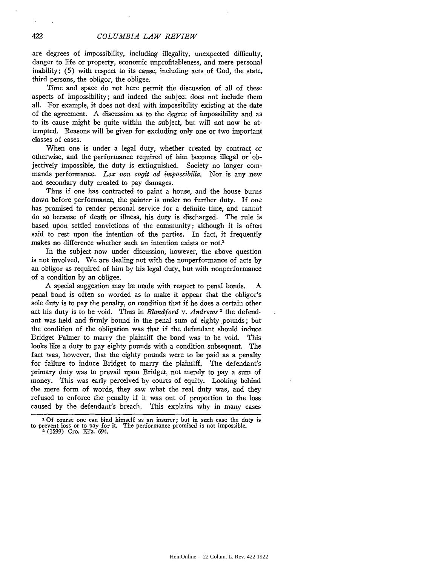are degrees of impossibility, including illegality, unexpected difficulty, are degrees of impossibility, including illegality, unexpected difficulty, danger to life or property, economic unprofitableness, and mere personal qanger to life or property, economic unprofitableness, and mere inability; (5) with respect to its cause, including acts of God, the state, third persons, the obligor, the obligee. third persons, the obligor, the obligee.

Time and space do not here permit the discussion of all of these aspects of impossibility; and indeed the subject does not include them aspects of impossibility; and indeed the subject does not include them all. For example, it does not deal with impossibility existing at the date of the agreement. A discussion as to the degree of impossibility and as to its cause might be quite within the subject, but will not now be at-to its cause might be quite within the subject, but will not now be attempted. Reasons will be given for excluding only one or two important tempted. Reasons will be given for excluding only one or two important classes of cases. classes of cases.

When one is under a legal duty, whether created **by** contract or When one is under a legal duty, whether created by contract or otherwise, and the performance required of him becomes illegal or objectively impossible, the duty is extinguished. Society no longer com-jectively impossible, the duty is extinguished. Society no longer commands performance. *Lex non cogit ad impossibilia.* Nor is any new mands performance. *Lex non cogit ad impossibilia.* Nor is any and secondary duty created to pay damages. and secondary duty created to pay damages.

Thus if one has contracted to paint a house, and the house burns Thus if one has contracted to paint a house, and the house burn:> down before performance, the painter is under no further duty. If one down before performance, the painter is under no further duty. If one has promised to render personal service for a definite time, and cannot has promised to render personai service for a definite time, and cannot do so because of death or illness, his duty is discharged. The rule is do so because of death or illness, his duty is discharged. The rule is based upon settled convictions of the community; although it is often based upon settled convictions of the community; although it is often said to rest upon the intention of the parties. In fact, it frequently said to rest upon the intention of the parties. In fact, it frequently makes no difference whether such an intention exists or not.<sup>1</sup>

In the subject now under discussion, however, the above question In the subject now under discussion, however, the above question is not involved. We are dealing not with the nonperformance of acts **by** is not involved. We are dealing not with the nonperformance of acts by an obligor as required of him **by** his legal duty, but with nonperformance an obligor as required of him by his legal duty, but with nonperformance of a condition **by** an obligee. of a condition by an obligee.

**A** special suggestion may be mide with respect to penal bonds. **A** A special suggestion may be made with respect to penal bonds. A penal bond is often so worded as to make it appear that the obligor's penal bond is often so worded as to make it appear that the obligor's sole duty is to pay the penalty, on condition that if he does a certain other sole duty is to pay the penalty, on condition that if he does a certain other act his duty is to be void. Thus in *Blandford v. Andrews 2* the defend-act his duty is to be void. Thus in *Blandford* v. *Andrews* <sup>2</sup> the defendant was held and firmly bound in the penal sum of eighty pounds; but ant was held and firmly bound in the penal sum of eighty pounds ; but the condition of the obligation was that if the defendant should induce the condition of the obligation was that if the defendant should induce Bridget Palmer to marry the plaintiff the bond was to be void. This Bridget Palmer to marry the plaintiff the bond was to be void. This looks like a duty to pay eighty pounds with a condition subsequent. The looks like a duty to pay eighty pounds with a condition subsequent. The fact was, however, that the eighty pounds were to be paid as a penalty fact was, however, that the eighty pounds were to be paid as a penalty for failure to induce Bridget to marry the plaintiff. The defendant's for failure to induce Bridget to marry the plaintiff. The defendant's primary duty was to prevail upon Bridget, not merely to pay a sum of money. This was early perceived **by** courts of equity. Looking behind money. This was early perceived by courts of equity. Looking behind the mere form of words, they saw what the real duty was, and they the mere form of words, they saw what the real duty was, and they refused to enforce the penalty if it was out of proportion to the loss refused to enforce the penalty if it was out of proportion to the loss caused **by** the defendant's breach. This explains why in many cases caused by the defendant's breach. This explains why in many cases

**I Of** course one can bind himself as an insurer; but in such case the duty is <sup>1</sup> Of course one can bind himself as an insurer; but in such case the duty is to prevent loss or to pay for it. The performance promised is not impossible. <sup>2</sup>(1599) Cro. Eliz. 694. to prevent loss or to pay for it. The performance promised is not impossible.2 (1599) Cro. Eliz. 694.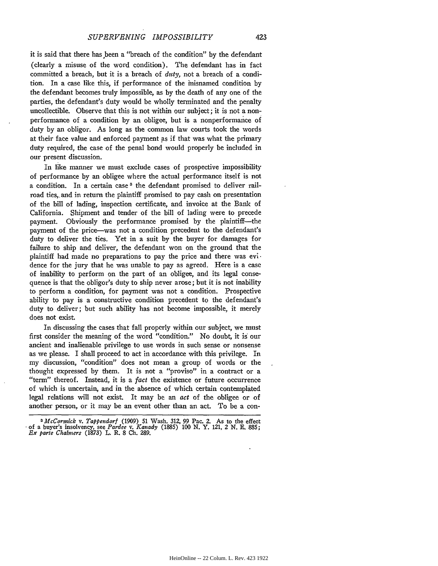it is said that there has been a "breach of the condition" by the defendant (clearly a misuse of the word condition). The defendant has in fact (clearly a misuse of the word condition). The defendant has in fact committed a breach, but it is a breach of *duty,* not a breach of a condi-committed a breach, but it is a breach of *duty,* not a breach of a condition. In a case like this, if performance of the inisnamed condition by tion. In a case like this, if performance of the misnamed condition by the defendant becomes truly impossible, as by the death of any one of the the defendant becomes truly impossible, as by the death of any one of the parties, the defendant's duty would be wholly terminated and the penalty uncollectible. Observe that this is not within our subject; it is not a non-uncollectible. Observe that this is not within our subject; it is not a nonperformance of a condition by an obligee, but is a nonperformance of performance of a condition by an obligee, but is a nonperformance of duty by an obligor. As long as the common law courts took the words duty by an obligor. As long as the common law courts took the words at their face value and enforced payment as if that was what the primary duty required, the case of the penal bond would properly be included in duty required, the case of the penal bond would properly be included in our present discussion. our present discussion.

In like manner we must exclude cases of prospective impossibility In like manner we must exclude cases of prospective impossibility of performance by an obligee where the actual performance itself is not a condition. In a certain case<sup>3</sup> the defendant promised to deliver railroad ties,, and in return the plaintiff promised to pay cash on presentation road ties,.and in return the plaintiff promised to pay cash on presentation of the bill of lading, inspection certificate, and invoice at the Bank of California. Shipment and tender of the bill of lading were to precede California. Shipment and tender of the bill of lading were to precede payment. Obviously the performance promised by the plaintiff-the payment of the price-was not a condition precedent to the defendant's payment of the price-was not a condition precedent to the defendant's duty to deliver the ties. Yet in a suit by the buyer for damages for duty to deliver the ties. Yet in a suit by the buyer for damages for failure to ship and deliver, the defendant won on the ground that the failure to ship and deliver, the defendant won on the ground that the plaintiff had made no preparations to pay the price and there was evi - plaintiff had made no preparations to pay the price and there was evi· dence for the jury that he was unable to pay as agreed. Here is a case dence for the jury that he was unable to pay as agreed. Here is a of inability to perform on the part of an obligee, and its legal consequence is that the obligor's duty to ship never arose; but it is not inability quence is that the obligor's duty to ship never arose; but it is not inability to perform a condition, for payment was not a condition. Prospective to perform a condition, for payment was not a condition. Prospective ability to pay is a constructive condition precedent to the defendant's ability to pay is a constructive condition precedent to the defendant's duty to deliver; but such ability has not become impossible, it merely duty to deliver; but such ability has not become impossible, it merely does not exist. does not exist.

In discussing the cases that fall properly within our subject, we must In discussing the cases that fall properly within our subject, we must first consider the meaning of the word "condition." No doubt, it is our ancient and inalienable privilege to use words in such sense or nonsense ancient and inalienable privilege to use words in such sense or nonsense as we please. I shall proceed to act in accordance with this privilege. In as we please. I shall proceed to act in accordance with this privilege. In my discussion, "condition" does not mean a group of words or the my discussion, "condition" does not mean a group of words or the thought expressed by them. It is not a "proviso" in a contract or a thought expressed by them. It is not a "proviso" in a contract or a "term" thereof. Instead, it is a fact the existence or future occurrence "term" thereof. Instead, it is a *fact* the existence or future occurrence of which is uncertain, and in the absence of which certain contemplated legal relations will not exist. It may be an act of the obligee or of legal relations will not exist. It may be an *act* of the obligee or of another person, or it may be an event other than an act. To be a con-another person, or it may be an event other than an act. To be a con-

<sup>&</sup>lt;sup>3</sup> McCormick v. Tappendorf (1909) 51 Wash. 312, 99 Pac. 2. As to the effect of a buyer's insolvency, see Pardee v. Kanady (1885) 100 N. Y. 121, 2 N. E. 885;  $Ex$  parte Chalmers (1873) L. R. 8 Ch. 289. Es *parte Chalmers* (1873) L. R. 8 Ch. 289.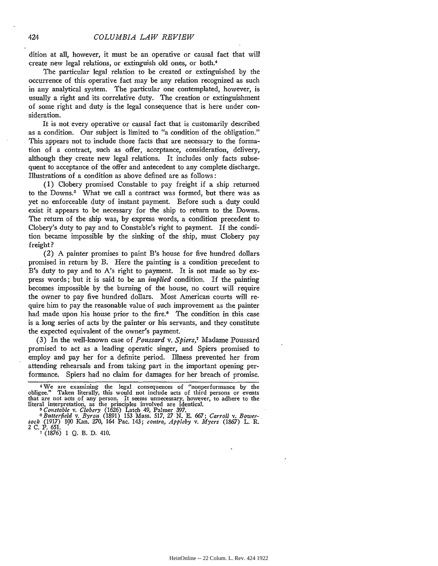dition at all, however, it must be an operative or causal fact that will dition at all, however, it must be an operative or causal fact that will create new legal relations, or extinguish old ones, or both.<sup>4</sup>

The particular legal relation to be created or extinguished by the The particular legal relation to be created or extinguished by the occurrence of this operative fact may be any relation recognized as such occurrence of this operative fact may be any relation recognized as such in any analytical system. The particular one contemplated, however, is in any analytical system. The particular one contemplated, however, is usually a right and its correlative duty. The creation or extinguishment usually a right and its correlative duty. The creation or extinguishment of some right and duty is the legal consequence that is here under consideration. sideration.

It is not every operative or causal fact that is customarily described It is not every operative or causal fact that is customarily described as a condition. Our subject is limited to "a condition of the obligation." as a condition. Our subject is limited to "a condition of the obligation." This appears not to include those facts that are necessary to the forma-This appears not to include those facts that are necessary to the formation of a contract, such as offer, acceptance, consideration, delivery, tion of a contract, such as offer, acceptance, consideration, delivery, although they create new legal relations. It includes only facts subse-although they create new legal relations. It includes only facts subsequent to acceptance of the offer and antecedent to any complete discharge. quent to acceptance of the offer and antecedent to any complete discharge. Illustrations of a condition as above defined are as follows: Illustrations of a condition as above defined are as follows:

(1) Clobery promised Constable to pay freight if a ship returned (1) Clobery promised Constable to pay freight if a ship returnec;l to the Downs.<sup>5</sup> What we call a contract was formed, but there was as yet no enforceable duty of instant payment. Before such a duty could exist it appears to be necessary for the ship to return to the Downs. exist it appears to be necessary for the ship to return to the Downs. The return of the ship was, by express words, a condition precedent to Clobery's duty to pay and to Constable's right to payment. If the condi-The return of the ship was, by express words, <sup>a</sup> condition precedent toClobery's duty to pay and to Constable's right to payment. If the condition became impossible by the sinking of the ship, must Clobery pay tion became impossible by the sinking of the ship, must Clobery pay freight **?** freight?

(2) A painter promises to paint B's house for five hundred dollars (2) A painter promises to paint B's house for five hundred dollars promised in return by B. Here the painting is a condition precedent to promised in return by B. Here the painting is a condition precedent to B's duty to pay and to A's right to payment. It is not made so by ex-B's duty to pay and to A's right to payment. It is not made so by express words; but it is said to be an *implied* condition. If the painting press words; but it is said to be an *implied* condition. If the painting becomes impossible by the burning of the house, no court will require becomes impossible by the burning of the house, no court will require the owner to pay five hundred dollars. Most American courts will re-the owner to pay five hundred dollars. Most American courts will require him to pay the reasonable value of such improvement as the painter quire him to pay the reasonable value of such improvement as the painter had made upon his house prior to the fire.<sup>6</sup> The condition in this case is a long series of acts by the painter or his servants, and they constitute the expected equivalent of the owner's payment. had made upon his house prior to the fire.<sup>6</sup> The condition in this case<br>is a long series of acts by the painter or his servants, and they constitute<br>the expected equivalent of the owner's payment.<br>(3) In the well-known c

promised to act as a leading operatic singer, and Spiers promised to promised to act as a leading operatic singer, and Spiers promised to employ and pay her for a definite period. Illness prevented her from employ and pay her for a definite period. Illness prevented her from attending rehearsals and from taking part in the important opening per-attending rehearsals and from taking part in the important opening performance. Spiers had no claim for damages for her breach of promise. formance. Spiers had no claim for damages for her breach of promise.

4We are examining the legal consequences of "nonperformance by the <sup>4</sup> We are examining the legal consequences of "nonperformance by the obligee." Taken literally, this would not include acts of third persons or events<br>that are not acts of any person. It seems unnecessary, however, to adhere to the<br>literal interpretation, as the principles involved are iden obligee." Taken literally, this would not include acts of third persons or events<br>that are not acts of any person. It seems unnecessary, however, to adhere to the<br>literal interpretation, as the principles involved are iden

<sup>G</sup> *COllstable* v. *Clobery* (1626) Latch 49, Palmer 397.

<sup>5</sup> Constable v. Clobery (1626) Latch 49, Palmer 397.<br><sup>6</sup> Butterfield v. Byron (1891) 153 Mass. 517, 27 N. E. 667; Carroll v. Bower-<br>sock (1917) 100 Kan. 270, 164 Pac. 143; contra, Appleby v. Myers (1867) L. R. 2 C. P. 651.  $(1876)$  1 Q. B. D. 410. <sup>6</sup> Butterfield v. Byron (1891) 153 Mass. 517, 27 N. E. 667; Carroll v. Bower-<br>sock (1917) 100 Kan. 270, 164 Pac. 143; contra, Appleby v. Myers (1867) L. R.<br>2 C. P. 651.

 $7(1876)$  1 Q. B. D. 410.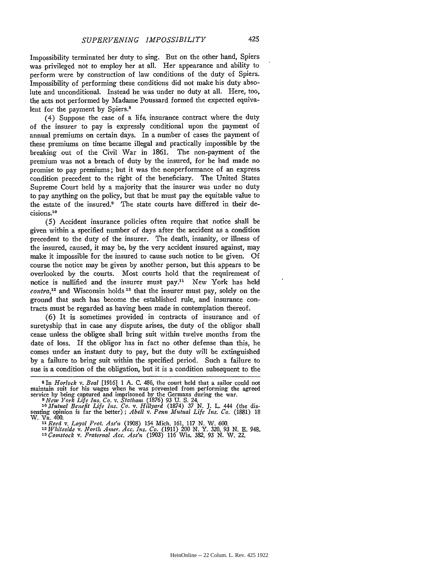Impossibility terminated her duty to sing. But on the other hand, Spiers Impossibility terminated her duty to sing. But on the other hand, Spiers was privileged not to employ her at all. Her appearance and ability to perform were **by** construction of law conditions of the duty of Spiers. was privileged not to employ her at all. Her appearance and ability toperform were by construction of law conditions of the duty of Spiers. Impossibility of performing these conditions did not make his duty abso-Impossibility of performing these conditions did not make his duty absolute and unconditional. Instead he was under no duty at all. Here, too, lute and unconditional. Instead he was under no duty at all. Here, too, the acts not performed **by** Madame Poussard formed the expected equiva-the acts not performed by Madame Poussard formed the expected equivalent for the payment by Spiers.<sup>8</sup>

(4) Suppose the case of a life, insurance contract where the duty of the insurer to pay is expressly conditional upon the payment of (4) Suppose the case of <sup>a</sup> life. insurance contract where the dutyof the insurer to pay is expressly conditional upon the payment of annual premiums on certain days. In a number of cases the payment of annual premiums on certain days. In a number of cases the payment of these premiums on time became illegal and practically impossible **by** the these premiums on time became illegal and practically impossible by the breaking out of the Civil War in **1861.** The non-payment of the breaking out of the Civil War in 1861. The non-payment of the premium was not a breach of duty **by** the insured, for he had made no premium was not a breach of duty by the insured, for he had made no promise to pay premiums; but it was the nonperformance of an express promise to pay premiums; but it was the nonperformance of an express condition precedent to the right of the beneficiary. The United States condition precedent to the right of the beneficiary. The United States Supreme Court held **by** a majority that the insurer was under no duty Supreme Court held by a majority that the insurer was under no duty to pay anything on the policy, but that he must pay the equitable value to to pay anything on the policy, but that he must pay the equitable value to the estate of the insured.9 The state courts have differed in their de-the estate of the insured.9 The state courts have differed in their decisions.10 cisions.10

**(5)** Accident insurance policies often require that notice shall be (5) Accident insurance policies often require that notice shall be given within a specified number of days after the accident as a condition given within a specified number of days after the accident as a condition precedent to the duty of the insurer. The death, insanity, or illness of precedent to the duty of the insurer. The death, insanity, or illness of the insured, caused, it may be, **by** the very accident insured against, may the insured, caused, it may be, by the very accident insured against, may make it impossible for the insured to cause such notice to be given. Of course the notice may be given **by** another person, but this appears to be course the notice may be given by another person, but this appears to be overlooked by the courts. Most courts hold that the requirement of notice is nullified and the insurer must pay." New York has held notice is nullified and the insurer must pay.11 New York has held contra,<sup>12</sup> and Wisconsin holds <sup>13</sup> that the insurer must pay, solely on the ground that such has become the established rule, and insurance con-ground that such has become the established rule, and insurance contracts must be regarded as having been made in contemplation thereof. tracts must be regarded as having been made in contemplation thereof.

(6) It is sometimes provided in contracts of insurance and of (6) It is sometimes provided in contracts of insurance and of suretyship that in case any dispute arises, the duty of the obligor shall suretyship that in case any dispute arises, the duty of the obligor shall cease unless the obligee shall bring suit within twelve months from the cease unless the obligee shall bring suit within twelve months from the date of loss. If the obligor has in fact no other defense than this, he date of loss. If the obligor has in fact no other defense than this, he comes under an instant duty to pay, but the duty will be extinguished comes under an instant duty to pay, but the duty will be extinguished **by** a failure to bring suit within the specified period. Such a failure to by a failure to bring suit within the specified period. Such a failure to sue is a condition of the obligation, but it is a condition subsequent to the sue is a condition of the obligation, but it is a condition subsequent to the

**<sup>8</sup>**In *Horlock v. Beal* **[1916] 1 A. C.** 486, the court held that a sailor could not <sup>8</sup> In *Horlock* v. *Beal* [1916] 1 A. C. 486, the court held that a sailor could not maintain suit for his wages when he was prevented from performing the agreed maintain suit for his wages when he was prevented from performing the agreed service by being captured and imprisoned by the Germans during the war.<br>
<sup>9</sup> New York Life Ins. Co. v. Statham (1876) 93 U. S. 24.<br>
<sup>10</sup> Mutual Benefit Life Ins. Co. v. Hillvard (1874) 37 N. I. L. 444 (the dis-

senting opinion is far the better); *Abell v. Penn Mutual Life Ins. Co.* (1881) 18 W. Va. 400. W. Va. 400. service by being captured and imprisoned by the Germans during the war.<br><sup>9</sup> New York Life Ins. Co. v. Statham (1876) 93 U. S. 24.<br><sup>10</sup> Mutual Benefit Life Ins. Co. v. Hillyard (1874) 37 N. J. L. 444 (the dissenting opinion

*<sup>11</sup>Reed v. Loyal Prot. Ass'n* (1908) 154 Mich. 161, 117 N. W. 600. **<sup>12</sup>***Whiteside v. North Amer. Acc. Ins. Co.* (1911) 200 **N.** Y. 320, **93 N.** E. 948- 11 *Reed* v. *Loyal Prot. Ass'tl* (1908) 154 Mich. 161, 117 N. W. 600.

*<sup>13</sup>Conistock v. Fraternal Acc. Ass'n* (1903) 116 Wis. 382, **93** N. W. 22. 12 *Whiteside* v. *North At/ler. Acc. IlIs. Co.* (1911) 200 N. Y. 320, 93 N. E. 948. 13 *Comstock* v. *Fratemal Acc. Ass'lI* (1903) 116 Wis. 382, 93 N. W. 22.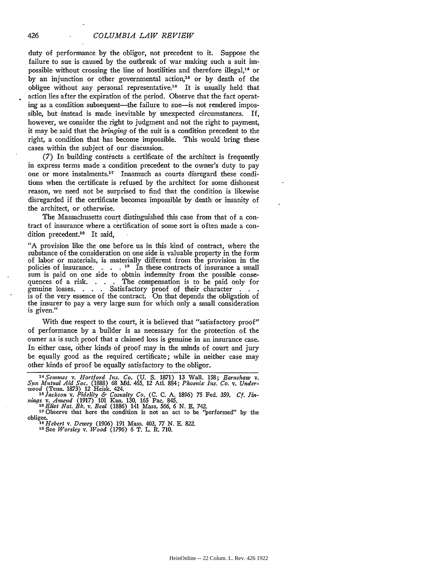duty of performance **by** the obligor, not precedent to it. Suppose the duty of performance by the obligor, not precedent to it. Suppose the failure to sue is caused by the outbreak of war making such a suit impossible without crossing the line of hostilities and therefore illegal,<sup>14</sup> or **by** an injunction or other governmental action,15 or **by** death of the by an injunction or other governmental action,<sup>15</sup> or by death of the obligee without any personal representative.<sup>16</sup> It is usually held that action lies after the expiration of the period. Observe that the fact operat-• action lies after the expiration of the period. Observe that the fact operating as a condition subsequent-the failure to sue-is not rendered impossible, but -instead is made inevitable **by** unexpected circumstances. If, sible, but instead is made inevitable by unexpected circumstances. If,<br>however, we consider the right to judgment and not the right to payment, it may be said that the *bringing* of the suit is a condition precedent to the right, a condition that has become impossible. This would bring these right, a condition that has become impossible. This would bring these cases within the subject of our discussion. cases within the subject of our

(7) In building contracts a certificate of the architect is frequently in express terms made a condition precedent to the owner's duty to pay in express terms made a condition precedent to the owner's duty to pay one or more instalments.<sup>17</sup> Inasmuch as courts disregard these conditions when the certificate is refused **by** the architect for some dishonest tions when the certificate is refused by the architect for some dishonest reason, we need not be surprised to find that the condition is likewise reason, we need not be surprised to find that the condition is likewise disregarded if the certificate becomes impossible **by** death or insanity of disregarded if the certificate becomes impossible by death or insanity of the architect, or otherwise. the architect, or othenvise.

The Massachusetts court distinguished this case from that of a contract of insurance where a certification of some sort is often made a con-tract of insurance where a certification of some sort is often made a condition precedent.<sup>18</sup> It said,

"A provision like the one before us in this kind of contract, where the "A provision like the one before us in this kind of contract, where the substance of the consideration on one side is valuable property in the form substance of the consideration on one side is valuable property in the form of labor or materials, is materially different from the provision in the of labor or materials, is materially different from the provision in the policies of insurance. . . . . <sup>19</sup> In these contracts of insurance a small sum is paid on one side to obtain indemnity from the possible conse-sum is paid on one side to obtain indemnity from the possible consequences of a risk. **. . .** The compensation is to be paid only for genuine losses. **. . .** Satisfactory proof of their character is of the very essence of the contract. On that depends the obligatioh of the insurer to pay a very large sum for which only a small consideration is given." is given." quences of a risk. . . . The compensation is to be paid only for genuine losses. . . . Satisfactory proof of their character . . . .<br>is of the very essence of the contract. On that depends the obligation of<br>the insurer to pay a very large sum for which only a small consideration

With due respect to the court, it is believed that "satisfactory proof" With due respect to the court, it is believed that "satisfactory proof" of performance by a builder is as necessary for the protection of the owner as is such proof that a claimed loss is genuine in an insurance case. In either case, other kinds of proof may in the minds of court and jury In either case, other kinds of proof may in the minds of court and jury be equally good as the required certificate; while in neither case may be equally good as the required certificate; while in neither case may other kinds of proof be equally satisfactory to the obligor.

<sup>&</sup>lt;sup>14</sup> Semmes v. Hartford Ins. Co. (U. S. 1871) 13 Wall. 158; Earnshaw v. Sun Mutual Aid Soc. (1888) 68 Md. 465, 12 Atl. 884; Phoenix Ins. Co. v. Underwood (Tenn. 1873) 12 Heisk. 424.<br><sup>15</sup> Jackson v. Fidelity & Casualty Co. <sup>14</sup> Semmes v. Hartford Ins. Co. (U. S. 1871) 13 Wall. 158; Earnshaw v.<br>Sun Mutual Aid Soc. (1888) 68 Md. 465, 12 Atl. 884; Phoenix Ins. Co. v. Under-wood (Tenn. 1873) 12 Heisk. 424.

<sup>15</sup> *JackS01J* v. *Fidelity* & *Casllalty Co.* (C. C. A. 1896) 75 Fed. 359. *Cf. Jin-nings* v. *Amend* (1917) 101 Kan. 130, 165 Pac. 845.

obligee. *<sup>18</sup>Hebert v. Dewey* (1906) 191 Mass. 403, **77** N. E. **822.** *<sup>16</sup> Eliot Nat. Bk.* v. *Beal* (1886) 141 Mass. 566, 6 N. E. 742. 17 Observe that here the condition is not an act to be "performed" by the obligee. *18 Hebert* v. *Dewey* (1906) 191 Mass. 403, 77 N. E. 822.

**<sup>19</sup>**See *Worsley v. Wood* (1796) **6** T. L. R. 710.

<sup>19</sup> See *Worsley* v. *Wood* (1796) 6 T. L. R.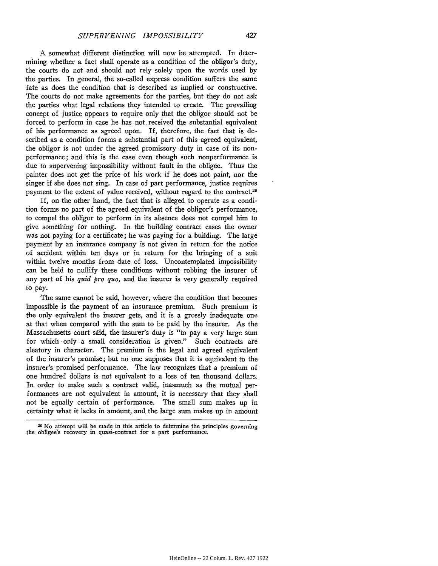A somewhat different distinction will now be attempted. In deter-A somewhat different distinction will now be attempted. In determining whether a fact shall operate as a condition of the obligor's duty, mining whether a fact shall operate as a condition of the obligor's duty,<br>the courts do not and should not rely solely upon the words used by the parties. In general, the so-called express condition suffers the same the parties. In general, the so-called express condition suffers the same fate as does the condition that is described as implied or constructive. fate as does the condition that is described as implied or constructive. The courts do not make agreements for the parties, but they do not ask 'fhe courts do not make agreements for the parties, but they do not ask the parties what legal relations they intended to create. The prevailing the parties what legal relations they intended to create. The prevailing concept of justice appears to require only that the obligor should not be concept of justice appears to require only that the obligor should not be forced to perform in case he has not received the substantial equivalent forced to perform in case he has not. received the substantial equivalent of his performance as agreed upon. If, therefore, the fact that is described as a condition forms a substantial part of this agreed equivalent, scribed as a condition forms a substantial part of this agreed equivalent, the obligor is not under the agreed promissory duty in case of its non-the obligor is not under the agreed promissory duty in case of its nonperformance; and this is the case even though such nonperformance is performance; and this is the case even though such nonperformance is due to supervening impossibility without fault in the obligee. Thus the due to supervening impossibility without fault in the obligee. Thus the<br>painter does not get the price of his work if he does not paint, nor the singer if she does not sing. In case of part performance, justice requires singer if she does not sing. In case of part performance, justice requires<br>payment to the extent of value received, without regard to the contract.<sup>20</sup>

If, on the other hand, the fact that is alleged to operate as a condi-If, on the other hand, the fact that is alleged to operate as a condition forms no part of the agreed equivalent of the obligor's performance, tion forms no part of the agreed equivalent of the obligor's performance, to compel the obligor to perform in its absence does not compel him to to compel the obligor to perform in its absence does not compel him to give something for nothing. In the building contract cases the owner give something for nothing. In the building contract cases the owner was not paying for a certificate; he was paying for a building. The large was not paying for a certificate; he was paying for a building. The large payment by an insurance company is not given in return for the notice payment by an insurance company is not given in return for the notice of accident within ten days or in return for the bringing of a suit within twelve months from date of loss. Uncontemplated impossibility within twelve months from date of loss. Uncontemplated can be held to nullify these conditions without robbing the insurer **of** can be held to nullify these conditions without robbing the insurer Gf any part of his *quid pro quo,* and the insurer is very generally required any part of his *quid pro quo,* and the insurer is very generally required to pay. to pay.

The same cannot be said, however, where the condition that becomes The same cannot be said, however, where the condition that becomes impossible is the payment of an insurance premium. Such premium is impossible is the payment of an insurance premium. Such premium is the only equivalent the insurer gets, and it is a grossly inadequate one the only equivalent the insurer gets, and it is a grossly inadequate one at that when compared with the sum to be paid by the insurer. As the Massachusetts court said, the insurer's duty is "to pay a very large sum for which only a small consideration is given." Such contracts are aleatory in character. The premium is the legal and agreed equivalent aleatory in character. The premium is the legal and agreed equivalent of the insurer's promise; but no one supposes that it is equivalent to the insurer's promised performance. The law recognizes that a premium of insurer's promised performance. The law recognizes that a premium of one hundred dollars is not equivalent to a loss of ten thousand dollars. one hundred dollars is not equivalent to a loss of ten thousand dollars. In order to make such a contract valid, inasmuch as the mutual per-In order to make such a contract valid, inasmuch as the mutual performances are not equivalent in amount, it is necessary that they shall formances are not equivalent in amount, it is necessary that they shall not be equally certain of performance. The small sum makes up in not be equally certain of performance. The small sum makes up in certainty what it lacks in amount, and the large sum makes up in amount certainty what it lacks in amount, and. the large sum makes up in amount at that when compared with the sum to be paid by the insurer. As the Massachusetts court said, the insurer's duty is "to pay a very large sum for which only a small consideration is given." Such contracts are

<sup>20</sup> No attempt will be made in this article to determine the principles governing <sup>20</sup> No attempt will be made in this article to determine the principles governing the obligee's recovery in quasi-contract for a part performance. the obligee's recovery in quasi-contract for a part performance.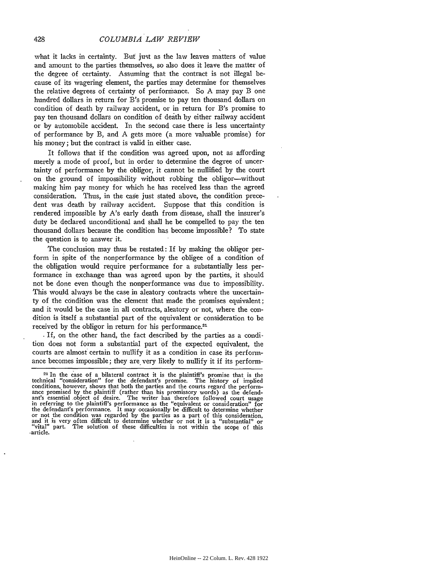what it lacks in certainty. But just as the law leaves matters of value and amount to the parties themselves, so also does it leave the matter of and amount to the parties themselves, so also does it leave the matter of the degree of certainty. Assuming that the contract is not illegal be-the degree of certainty. Assuming that the contract is not illegal cause of its wagering element, the parties may determine for themselves the relative degrees of certainty of performance. So A may pay B one the relative degrees of certainty of performance. So A may pay B one<br>hundred dollars in return for B's promise to pay ten thousand dollars on condition of death by railway accident, or in return for B's promise to condition 6f death by railway accident, or in return for B's promise to pay ten thousand dollars on condition of death by either railway accident pay ten thousand dollars on condition of death by either railway accident or by automobile accident. In the second case there is less uncertainty or by automobile accident. In the second case there is less uncertainty of performance by B, and A gets more (a more valuable promise) for of performance by B, and A gets more (a more valuable promise) for his money; but the contract is valid in either case. his money; but the contract is valid in either case.

It follows that if the condition was agreed upon, not as affording It follows that if the condition was agreed upon, not as affording merely a mode of proof, but in order to determine the degree of uncer-merely a mode of proof, but in order to determine the degree of uncertainty of performance by the obligor, it cannot be nullified by the court tainty of performance by the obligor, it cannot be nullified by the court on the ground of impossibility without robbing the obligor-without making him pay money for which he has received less than the agreed making him pay money for which he has received less than the agreed consideration. Thus, in the case just stated above, the condition prece-consideration. Thus, in the case just stated above, the condition precedent was death by railway accident. Suppose that this condition is dent was death by railway accident. Suppose that this condition is<br>rendered impossible by A's early death from disease, shall the insurer's duty be declared unconditional and shall he be compelled to pay the ten duty be declared unconditional and shall he be compelled to pay the ten<br>thousand dollars because the condition has become impossible? To state the question is to answer it. the question is to answer it.

The conclusion may thus be restated: **If** by making the obligor per-The conclusion may thus be restated: If by making the obligor perform in spite of the nonperformance by the obligee of a condition of form in spite of the nonperformance by the obligee of a condition of<br>the obligation would require performance for a substantially less performance in exchange than was agreed upon by the parties, it should formance in exchange than was agreed upon by the parties, it should not be done even though the nonperformance was due to impossibility. not be done even though the nonperformance was due to impossibility. This would always be the case in aleatory contracts where the uncertain-This would always be the case in aleatory contracts where the uncertainty of the condition was the element that made the promises equivalent; ty of the condition was the element that made the promises equivalent; and it would be the case in all contracts, aleatory or not, where the con-and it would be the case in all contracts, aleatory or not, where the condition is itself a substantial part of the equivalent or consideration to be dition is itself a substantial part of the equivalent or consideration to be received by the obligor in return for his performance.<sup>21</sup>

**.** If, on the other hand, the fact described by the parties as a condi-. If, on the other hand, the fact described by the parties as a condition does not form a substantial part of the expected equivalent, the tion does not form a substantial part of the expected equivalent, the courts are almost certain to nullify it as a condition in case its perform-courts are almost' certain to nullify it as a condition in case its performance becomes impossible; they are very likely to nullify it if its perform-ance becomes impossible; they are. very likely to nullify it if its perform-

<sup>21</sup> In the case of a bilateral contract it is the plaintiff's promise that is the <sup>21</sup> In the case of a bilateral contract it is the plaintiff's promise that is the technical "consideration" for the defendant's promise. The history of implied conditions, however, shows that both the parties and the cou ant's essential object of desire. The writer has therefore followed court usage in referring to the plaintiff's performance as the "equivalent or consideration" for the defendant's performance. It may occasionally be difficult to determine whether or not the condition was regarded by the parties as a part of this consideration, and it is very often difficult to determine whether or not it is a "substantial" or "vital" part. The solution of these difficulties is not within the scope of this -article. ·article.technical "consideration" for the defendant's promise. The history of implied conditions, however, shows that both the parties and the courts regard the perform- ance promised by the plaintiff (rather than his promissory words) as the defendant's essential object of desire. The writer has therefore followed court usage in referring to the plaintiff's performance as the "equivalent or consideration" for<br>the defendant's performance. It may occasionally be difficult to determine whether<br>or not the condition was regarded by the parties as a